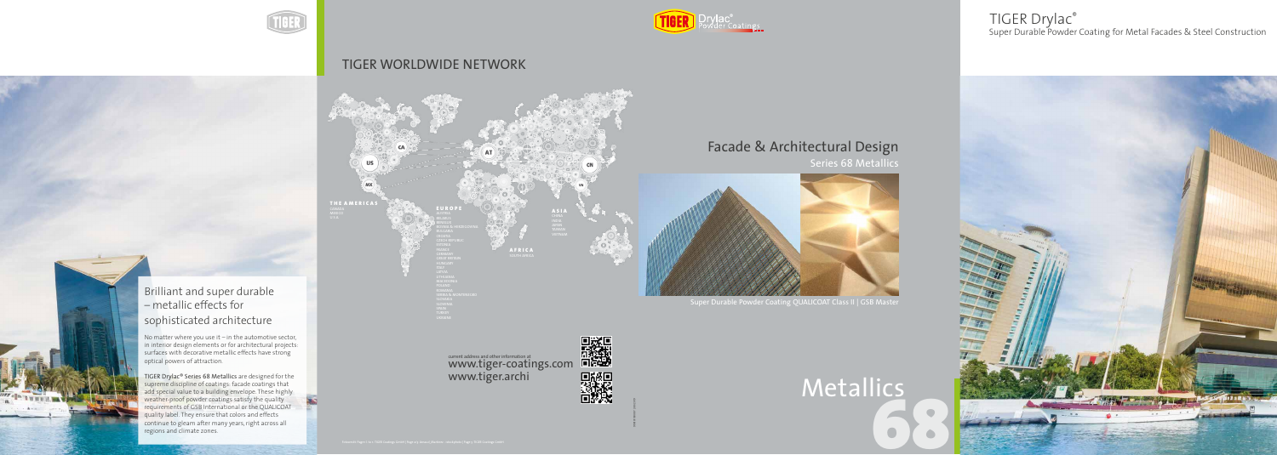998101100087 | 08/2019

current address and other information at current address and other information at



#### TIGER WORLDWIDE NETWORK

**AFRICA** SOUTH AFRICA



#### Brilliant and super durable – metallic effects for  $\overline{a}$ sophisticated architecture



Series 68 Metallics

Super Durable Powder Coating QUALICOAT Class II | GSB Master



# 68 Metallics

No matter where you use it – in the automotive sector,  $\,$ in interior design elements or for ar $\,$ optical powers of attraction. No matter where you use it – in the automotive sector, in interior design elements or for architectural projects: surfaces with decorative metallic effects have strong

IIGER Drylac® Series 68 Metallics are designed for the supreme discipline of coatings weather-proof powder coatings satisfy the quality requirements of GSB International or the QUALICO quality label. They ensure that colors and effects continue to gleam after many years, right across al regions and climate zones. TIGER Drylac® Series 68 Metallics are designed for the supreme discipline of coatings: facade coatings that add special value to a building envelope. These highly weather-proof powder coatings satisfy the quality requirements of GSB International or the QUALICOAT quality label. They ensure that colors and effects continue to gleam after many years, right across all

Super Durable Powder Coating for Metal Facades & Steel Construction



### TIGER Drylac®

### Facade & Architectural Design

## www.tiger.archi